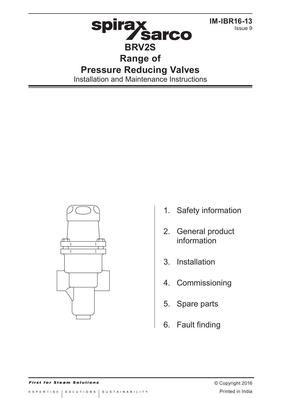

Installation and Maintenance Instructions



1. Safety information

Issue 9

- 2. General product information
- 3. Installation
- 4. Commissioning
- 5. Spare parts
- 6. Fault finding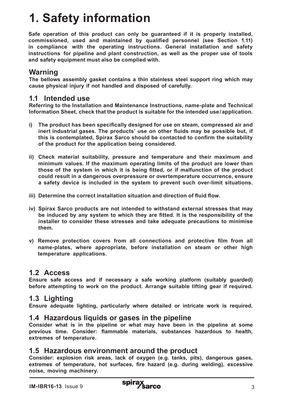# **1. Safety information**

**Safe operation of this product can only be guaranteed if it is properly installed, commissioned, used and maintained by qualified personnel (see Section 1.11) in compliance with the operating instructions. General installation and safety instructions for pipeline and plant construction, as well as the proper use of tools and safety equipment must also be complied with.**

# **Warning**

**The bellows assembly gasket contains a thin stainless steel support ring which may cause physical injury if not handled and disposed of carefully.**

## **1.1 Intended use**

**Referring to the Installation and Maintenance Instructions, name-plate and Technical Information Sheet, check that the product is suitable for the intended use/application.** 

- **i) The product has been specifically designed for use on steam, compressed air and inert industrial gases. The products' use on other fluids may be possible but, if this is contemplated, Spirax Sarco should be contacted to confirm the suitability of the product for the application being considered.**
- **ii) Check material suitability, pressure and temperature and their maximum and minimum values. If the maximum operating limits of the product are lower than those of the system in which it is being fitted, or if malfunction of the product could result in a dangerous overpressure or overtemperature occurrence, ensure a safety device is included in the system to prevent such over-limit situations.**
- **iii) Determine the correct installation situation and direction of fluid flow.**
- **iv) Spirax Sarco products are not intended to withstand external stresses that may be induced by any system to which they are fitted. It is the responsibility of the installer to consider these stresses and take adequate precautions to minimise them.**
- **v) Remove protection covers from all connections and protective film from all name-plates, where appropriate, before installation on steam or other high temperature applications.**

# **1.2 Access**

**Ensure safe access and if necessary a safe working platform (suitably guarded) before attempting to work on the product. Arrange suitable lifting gear if required.**

# **1.3 Lighting**

**Ensure adequate lighting, particularly where detailed or intricate work is required.**

# **1.4 Hazardous liquids or gases in the pipeline**

**Consider what is in the pipeline or what may have been in the pipeline at some previous time. Consider: flammable materials, substances hazardous to health, extremes of temperature.**

# **1.5 Hazardous environment around the product**

**Consider: explosion risk areas, lack of oxygen (e.g. tanks, pits), dangerous gases, extremes of temperature, hot surfaces, fire hazard (e.g. during welding), excessive noise, moving machinery.**

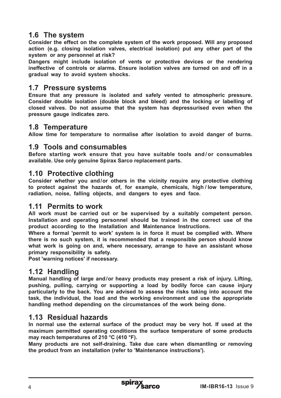# **1.6 The system**

**Consider the effect on the complete system of the work proposed. Will any proposed action (e.g. closing isolation valves, electrical isolation) put any other part of the system or any personnel at risk?** 

**Dangers might include isolation of vents or protective devices or the rendering ineffective of controls or alarms. Ensure isolation valves are turned on and off in a gradual way to avoid system shocks.**

## **1.7 Pressure systems**

**Ensure that any pressure is isolated and safely vented to atmospheric pressure. Consider double isolation (double block and bleed) and the locking or labelling of closed valves. Do not assume that the system has depressurised even when the pressure gauge indicates zero.**

## **1.8 Temperature**

**Allow time for temperature to normalise after isolation to avoid danger of burns.**

## **1.9 Tools and consumables**

**Before starting work ensure that you have suitable tools and / or consumables available. Use only genuine Spirax Sarco replacement parts.**

#### **1.10 Protective clothing**

**Consider whether you and/or others in the vicinity require any protective clothing to protect against the hazards of, for example, chemicals, high / low temperature, radiation, noise, falling objects, and dangers to eyes and face.**

#### **1.11 Permits to work**

**All work must be carried out or be supervised by a suitably competent person. Installation and operating personnel should be trained in the correct use of the product according to the Installation and Maintenance Instructions.**

**Where a formal 'permit to work' system is in force it must be complied with. Where there is no such system, it is recommended that a responsible person should know what work is going on and, where necessary, arrange to have an assistant whose primary responsibility is safety.**

**Post 'warning notices' if necessary.**

# **1.12 Handling**

**Manual handling of large and/or heavy products may present a risk of injury. Lifting, pushing, pulling, carrying or supporting a load by bodily force can cause injury particularly to the back. You are advised to assess the risks taking into account the task, the individual, the load and the working environment and use the appropriate handling method depending on the circumstances of the work being done.**

## **1.13 Residual hazards**

**In normal use the external surface of the product may be very hot. If used at the maximum permitted operating conditions the surface temperature of some products may reach temperatures of 210 °C (410 °F).**

**Many products are not self-draining. Take due care when dismantling or removing the product from an installation (refer to 'Maintenance instructions').**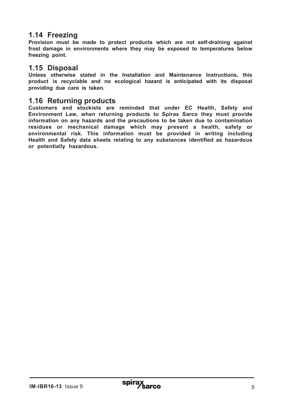## **1.14 Freezing**

**Provision must be made to protect products which are not self-draining against frost damage in environments where they may be exposed to temperatures below freezing point.**

#### **1.15 Disposal**

**Unless otherwise stated in the Installation and Maintenance Instructions, this product is recyclable and no ecological hazard is anticipated with its disposal providing due care is taken.**

#### **1.16 Returning products**

**Customers and stockists are reminded that under EC Health, Safety and Environment Law, when returning products to Spirax Sarco they must provide information on any hazards and the precautions to be taken due to contamination residues or mechanical damage which may present a health, safety or environmental risk. This information must be provided in writing including Health and Safety data sheets relating to any substances identified as hazardous or potentially hazardous.**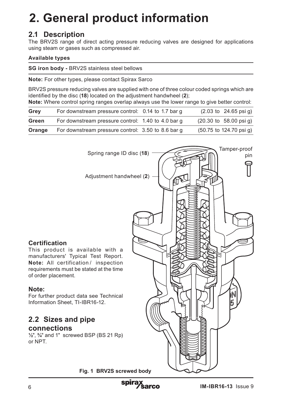# **2. General product information**

# **2.1 Description**

The BRV2S range of direct acting pressure reducing valves are designed for applications using steam or gases such as compressed air.

#### **Available types**

**SG iron body -** BRV2S stainless steel bellows

**Note:** For other types, please contact Spirax Sarco

BRV2S pressure reducing valves are supplied with one of three colour coded springs which are identified by the disc (**18**) located on the adjustment handwheel (**2**);

**Note:** Where control spring ranges overlap always use the lower range to give better control:

| Grey   | For downstream pressure control: 0.14 to 1.7 bar q |  | $(2.03 \text{ to } 24.65 \text{ psi})$      |
|--------|----------------------------------------------------|--|---------------------------------------------|
| Green  | For downstream pressure control: 1.40 to 4.0 bar q |  | $(20.30 \text{ to } 58.00 \text{ psi})$     |
| Orange | For downstream pressure control: 3.50 to 8.6 bar g |  | $(50.75 \text{ to } 124.70 \text{ psi } q)$ |

Spring range ID disc (**18**) Adjustment handwheel (**2**) Tamper-proof pin

#### **Certification**

This product is available with a manufacturers' Typical Test Report. **Note:** All certification / inspection requirements must be stated at the time of order placement.

#### **Note:**

For further product data see Technical Information Sheet, TI-IBR16-12.

## **2.2 Sizes and pipe connections**

# **½**", **¾**" and 1" screwed BSP (BS 21 Rp)

or NPT.

**Fig. 1 BRV2S screwed body**

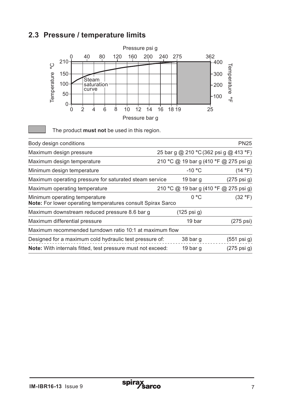# **2.3 Pressure / temperature limits**



The product **must not** be used in this region.

| Body design conditions                                                                       |                                        | <b>PN25</b>           |
|----------------------------------------------------------------------------------------------|----------------------------------------|-----------------------|
| Maximum design pressure                                                                      | 25 bar g @ 210 °C (362 psi g @ 413 °F) |                       |
| Maximum design temperature                                                                   | 210 °C @ 19 bar g (410 °F @ 275 psi g) |                       |
| Minimum design temperature                                                                   | $-10 °C$                               | (14 °F)               |
| Maximum operating pressure for saturated steam service                                       | 19 bar q                               | (275 psi g)           |
| Maximum operating temperature                                                                | 210 °C @ 19 bar g (410 °F @ 275 psi g) |                       |
| Minimum operating temperature<br>Note: For lower operating temperatures consult Spirax Sarco | 0 °C                                   | (32 °F)               |
| Maximum downstream reduced pressure 8.6 bar g                                                | (125 psi g)                            |                       |
| Maximum differential pressure                                                                | 19 bar                                 | (275 psi)             |
| Maximum recommended turndown ratio 10:1 at maximum flow                                      |                                        |                       |
| Designed for a maximum cold hydraulic test pressure of:                                      | 38 bar g                               | $(551 \text{ psi g})$ |
| <b>Note:</b> With internals fitted, test pressure must not exceed:                           | 19 bar q                               | $(275 \text{ psi g})$ |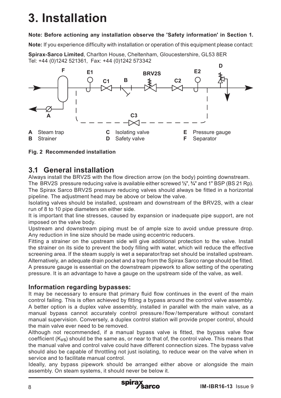# **3. Installation**

#### **Note: Before actioning any installation observe the 'Safety information' in Section 1.**

**Note:** If you experience difficulty with installation or operation of this equipment please contact:

**Spirax-Sarco Limited**, Charlton House, Cheltenham, Gloucestershire, GL53 8ER Tel: +44 (0)1242 521361, Fax: +44 (0)1242 573342



**Fig. 2 Recommended installation**

# **3.1 General installation**

Always install the BRV2S with the flow direction arrow (on the body) pointing downstream.

The BRV2S pressure reducing valve is available either screwed **½**", **¾**" and 1" BSP (BS 21 Rp). The Spirax Sarco BRV2S pressure reducing valves should always be fitted in a horizontal pipeline. The adjustment head may be above or below the valve.

Isolating valves should be installed, upstream and downstream of the BRV2S, with a clear run of 8 to 10 pipe diameters on either side.

It is important that line stresses, caused by expansion or inadequate pipe support, are not imposed on the valve body.

Upstream and downstream piping must be of ample size to avoid undue pressure drop. Any reduction in line size should be made using eccentric reducers.

Fitting a strainer on the upstream side will give additional protection to the valve. Install the strainer on its side to prevent the body filling with water, which will reduce the effective screening area. If the steam supply is wet a separator/trap set should be installed upstream. Alternatively, an adequate drain pocket and a trap from the Spirax Sarco range should be fitted. A pressure gauge is essential on the downstream pipework to allow setting of the operating pressure. It is an advantage to have a gauge on the upstream side of the valve, as well.

## **Information regarding bypasses:**

It may be necessary to ensure that primary fluid flow continues in the event of the main control failing. This is often achieved by fitting a bypass around the control valve assembly. A better option is a duplex valve assembly, installed in parallel with the main valve, as a manual bypass cannot accurately control pressure / flow / temperature without constant manual supervision. Conversely, a duplex control station will provide proper control, should the main valve ever need to be removed.

Although not recommended, if a manual bypass valve is fitted, the bypass valve flow coefficient (Kvs) should be the same as, or near to that of, the control valve. This means that the manual valve and control valve could have different connection sizes. The bypass valve should also be capable of throttling not just isolating, to reduce wear on the valve when in service and to facilitate manual control.

Ideally, any bypass pipework should be arranged either above or alongside the main assembly. On steam systems, it should never be below it.

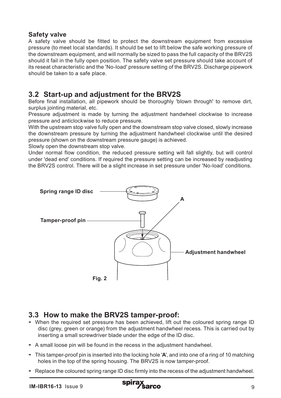#### **Safety valve**

A safety valve should be fitted to protect the downstream equipment from excessive pressure (to meet local standards). It should be set to lift below the safe working pressure of the downstream equipment, and will normally be sized to pass the full capacity of the BRV2S should it fail in the fully open position. The safety valve set pressure should take account of its reseat characteristic and the 'No-load' pressure setting of the BRV2S. Discharge pipework should be taken to a safe place.

# **3.2 Start-up and adjustment for the BRV2S**

Before final installation, all pipework should be thoroughly 'blown through' to remove dirt, surplus jointing material, etc.

Pressure adjustment is made by turning the adjustment handwheel clockwise to increase pressure and anticlockwise to reduce pressure.

With the upstream stop valve fully open and the downstream stop valve closed, slowly increase the downstream pressure by turning the adjustment handwheel clockwise until the desired pressure (shown on the downstream pressure gauge) is achieved.

Slowly open the downstream stop valve.

Under normal flow condition, the reduced pressure setting will fall slightly, but will control under 'dead end' conditions. If required the pressure setting can be increased by readjusting the BRV2S control. There will be a slight increase in set pressure under 'No-load' conditions.



- **3.3 How to make the BRV2S tamper-proof:**<br>**-** When the required set pressure has been achieved, lift out the coloured spring range ID disc (grey, green or orange) from the adjustment handwheel recess. This is carried out by inserting a small screwdriver blade under the edge of the ID disc.
- **-** A small loose pin will be found in the recess in the adjustment handwheel.
- **-** This tamper-proof pin is inserted into the locking hole '**A**', and into one of a ring of 10 matching holes in the top of the spring housing. The BRV2S is now tamper-proof.
- **-** Replace the coloured spring range ID disc firmly into the recess of the adjustment handwheel.

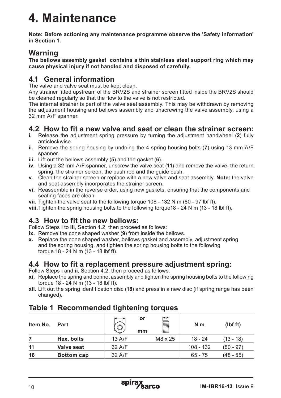# **4. Maintenance**

**Note: Before actioning any maintenance programme observe the 'Safety information' in Section 1.**

# **Warning**

**The bellows assembly gasket contains a thin stainless steel support ring which may cause physical injury if not handled and disposed of carefully.**

# **4.1 General information**

The valve and valve seat must be kept clean.

Any strainer fitted upstream of the BRV2S and strainer screen fitted inside the BRV2S should be cleaned regularly so that the flow to the valve is not restricted.

The internal strainer is part of the valve seat assembly. This may be withdrawn by removing the adjustment housing and bellows assembly and unscrewing the valve assembly, using a 32 mm A/F spanner.

## **4.2 How to fit a new valve and seat or clean the strainer screen:**

- **i.** Release the adjustment spring pressure by turning the adjustment handwheel (**2**) fully anticlockwise.
- **ii.** Remove the spring housing by undoing the 4 spring housing bolts (**7**) using 13 mm A/F spanner.
- **iii.** Lift out the bellows assembly (**5**) and the gasket (**6**).
- **iv.** Using a 32 mm A/F spanner, unscrew the valve seat (**11**) and remove the valve, the return spring, the strainer screen, the push rod and the guide bush.
- **v.** Clean the strainer screen or replace with a new valve and seat assembly. **Note:** the valve and seat assembly incorporates the strainer screen.
- **vi.** Reassemble in the reverse order, using new gaskets, ensuring that the components and seating faces are clean.
- **vii.** Tighten the valve seat to the following torque 108 132 N m (80 97 lbf ft).

**viii.**Tighten the spring housing bolts to the following torque18 - 24 N m (13 - 18 lbf ft).

# **4.3 How to fit the new bellows:**

Follow Steps **i** to **iii**, Section 4.2, then proceed as follows:

- **ix.** Remove the cone shaped washer (**9**) from inside the bellows.
- **x.** Replace the cone shaped washer, bellows gasket and assembly, adjustment spring and the spring housing, and tighten the spring housing bolts to the following torque 18 - 24 N m (13 - 18 lbf ft).

## **4.4 How to fit a replacement pressure adjustment spring:**

Follow Steps **i** and **ii**, Section 4.2, then proceed as follows:

- **xi.** Replace the spring and bonnet assembly and tighten the spring housing bolts to the following torque 18 - 24 N m (13 - 18 lbf ft).
- **xii.** Lift out the spring identification disc (**18**) and press in a new disc (if spring range has been changed).

# **Table 1 Recommended tightening torques**

| Item No. | Part              |        | or<br>mm | ⊷<br><b>MAN</b> | N <sub>m</sub> | (lbf ft)    |
|----------|-------------------|--------|----------|-----------------|----------------|-------------|
|          | Hex. bolts        | 13 A/F |          | M8 x 25         | $18 - 24$      | $(13 - 18)$ |
| 11       | Valve seat        | 32 A/F |          |                 | 108 - 132      | (80 - 97)   |
| 16       | <b>Bottom cap</b> | 32 A/F |          |                 | $65 - 75$      | (48 - 55)   |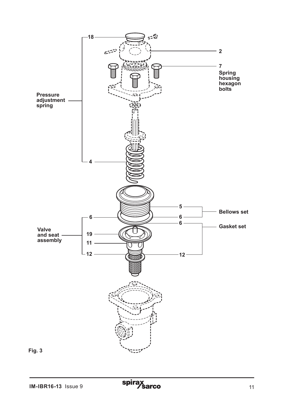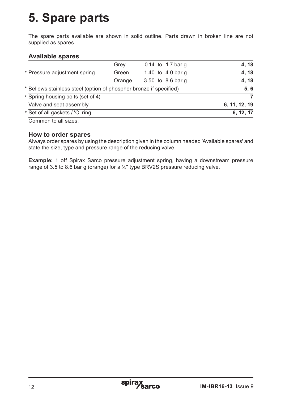# **5. Spare parts**

The spare parts available are shown in solid outline. Parts drawn in broken line are not supplied as spares.

#### **Available spares**

|                                                                    | Grey   | 0.14 to 1.7 bar q | 4, 18         |
|--------------------------------------------------------------------|--------|-------------------|---------------|
| * Pressure adjustment spring                                       | Green  | 1.40 to 4.0 bar q | 4, 18         |
|                                                                    | Orange | 3.50 to 8.6 bar g | 4, 18         |
| * Bellows stainless steel (option of phosphor bronze if specified) |        |                   | 5, 6          |
| * Spring housing bolts (set of 4)                                  |        |                   |               |
| Valve and seat assembly                                            |        |                   | 6, 11, 12, 19 |
| * Set of all gaskets / 'O' ring                                    |        |                   | 6, 12, 17     |
|                                                                    |        |                   |               |

Common to all sizes.

#### **How to order spares**

Always order spares by using the description given in the column headed 'Available spares' and state the size, type and pressure range of the reducing valve.

**Example:** 1 off Spirax Sarco pressure adjustment spring, having a downstream pressure range of 3.5 to 8.6 bar g (orange) for a ½" type BRV2S pressure reducing valve.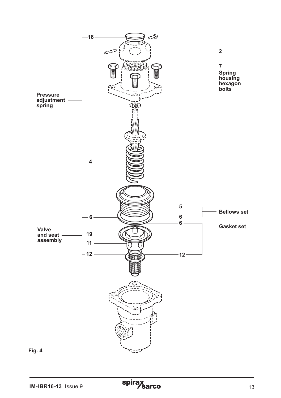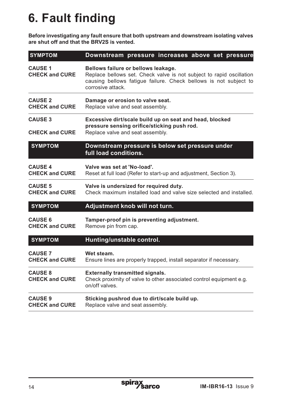# **6. Fault finding**

**Before investigating any fault ensure that both upstream and downstream isolating valves are shut off and that the BRV2S is vented.**

| <b>SYMPTOM</b>                          | Downstream pressure increases above set pressure                                                                                                                                                    |  |  |  |
|-----------------------------------------|-----------------------------------------------------------------------------------------------------------------------------------------------------------------------------------------------------|--|--|--|
| <b>CAUSE 1</b><br><b>CHECK and CURE</b> | Bellows failure or bellows leakage.<br>Replace bellows set. Check valve is not subject to rapid oscillation<br>causing bellows fatigue failure. Check bellows is not subject to<br>corrosive attack |  |  |  |
| <b>CAUSE 2</b><br><b>CHECK and CURE</b> | Damage or erosion to valve seat.<br>Replace valve and seat assembly.                                                                                                                                |  |  |  |
| <b>CAUSE 3</b><br><b>CHECK and CURE</b> | Excessive dirt/scale build up on seat and head, blocked<br>pressure sensing orifice/sticking push rod.<br>Replace valve and seat assembly.                                                          |  |  |  |
| <b>SYMPTOM</b>                          | Downstream pressure is below set pressure under<br>full load conditions.                                                                                                                            |  |  |  |
| <b>CAUSE 4</b><br><b>CHECK and CURE</b> | Valve was set at 'No-load'.<br>Reset at full load (Refer to start-up and adjustment, Section 3).                                                                                                    |  |  |  |
| <b>CAUSE 5</b><br><b>CHECK and CURE</b> | Valve is undersized for required duty.<br>Check maximum installed load and valve size selected and installed.                                                                                       |  |  |  |
| <b>SYMPTOM</b>                          | Adjustment knob will not turn.                                                                                                                                                                      |  |  |  |
| <b>CAUSE 6</b><br><b>CHECK and CURE</b> | Tamper-proof pin is preventing adjustment.<br>Remove pin from cap.                                                                                                                                  |  |  |  |
| <b>SYMPTOM</b>                          | Hunting/unstable control.                                                                                                                                                                           |  |  |  |
| <b>CAUSE 7</b><br><b>CHECK and CURE</b> | Wet steam.<br>Ensure lines are properly trapped, install separator if necessary.                                                                                                                    |  |  |  |
| <b>CAUSE 8</b><br><b>CHECK and CURE</b> | <b>Externally transmitted signals.</b><br>Check proximity of valve to other associated control equipment e.g.<br>on/off valves.                                                                     |  |  |  |
| <b>CAUSE 9</b><br><b>CHECK and CURE</b> | Sticking pushrod due to dirt/scale build up.<br>Replace valve and seat assembly.                                                                                                                    |  |  |  |